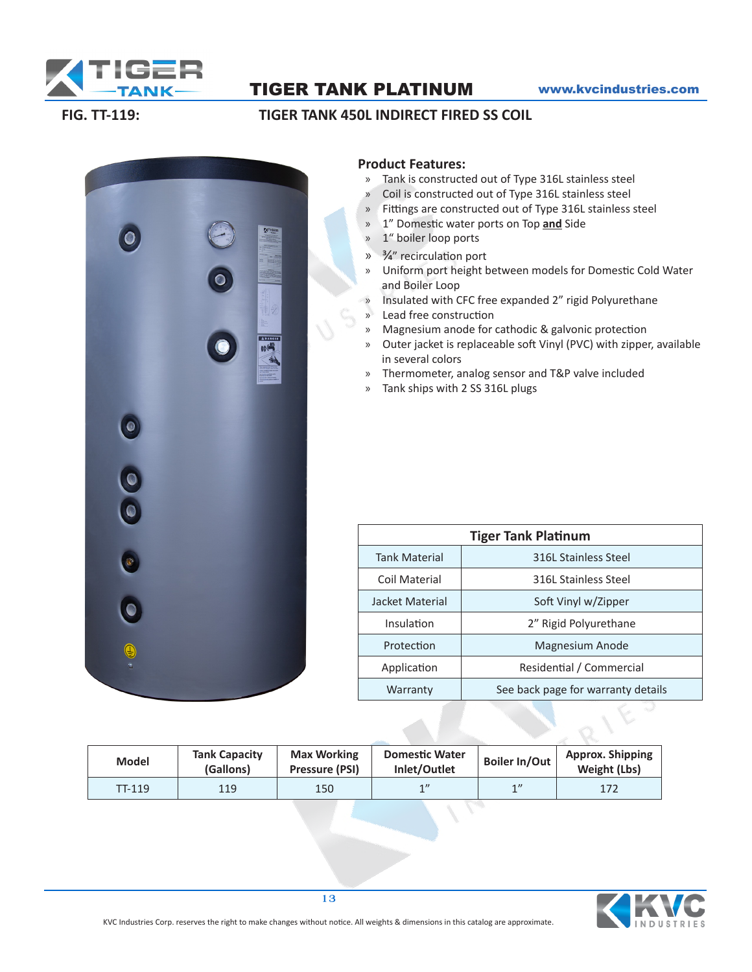

## TIGER TANK PLATINUM www.kvcindustries.com

### **FIG. TT-119: TIGER TANK 450L INDIRECT FIRED SS COIL**



#### **Product Features:**

- » Tank is constructed out of Type 316L stainless steel
- » Coil is constructed out of Type 316L stainless steel
- » Fittings are constructed out of Type 316L stainless steel
- » 1" Domestic water ports on Top **and** Side
- » 1" boiler loop ports
- » 3/4" recirculation port
- » Uniform port height between models for Domestic Cold Water and Boiler Loop
- » Insulated with CFC free expanded 2" rigid Polyurethane
- » Lead free construction
- » Magnesium anode for cathodic & galvonic protection
- » Outer jacket is replaceable soft Vinyl (PVC) with zipper, available in several colors
- » Thermometer, analog sensor and T&P valve included
- » Tank ships with 2 SS 316L plugs

| <b>Tiger Tank Platinum</b> |                                    |  |  |  |  |  |
|----------------------------|------------------------------------|--|--|--|--|--|
| <b>Tank Material</b>       | 316L Stainless Steel               |  |  |  |  |  |
| Coil Material              | 316L Stainless Steel               |  |  |  |  |  |
| Jacket Material            | Soft Vinyl w/Zipper                |  |  |  |  |  |
| Insulation                 | 2" Rigid Polyurethane              |  |  |  |  |  |
| Protection                 | Magnesium Anode                    |  |  |  |  |  |
| Application                | Residential / Commercial           |  |  |  |  |  |
| Warranty                   | See back page for warranty details |  |  |  |  |  |

| <b>Model</b> | <b>Tank Capacity</b><br>(Gallons) | <b>Max Working</b><br>Pressure (PSI) | <b>Domestic Water</b><br>Inlet/Outlet | <b>Boiler In/Out</b> | <b>Approx. Shipping</b><br>Weight (Lbs) |
|--------------|-----------------------------------|--------------------------------------|---------------------------------------|----------------------|-----------------------------------------|
| TT-119       | 119                               | 150                                  | 1                                     | 1''                  | 172                                     |